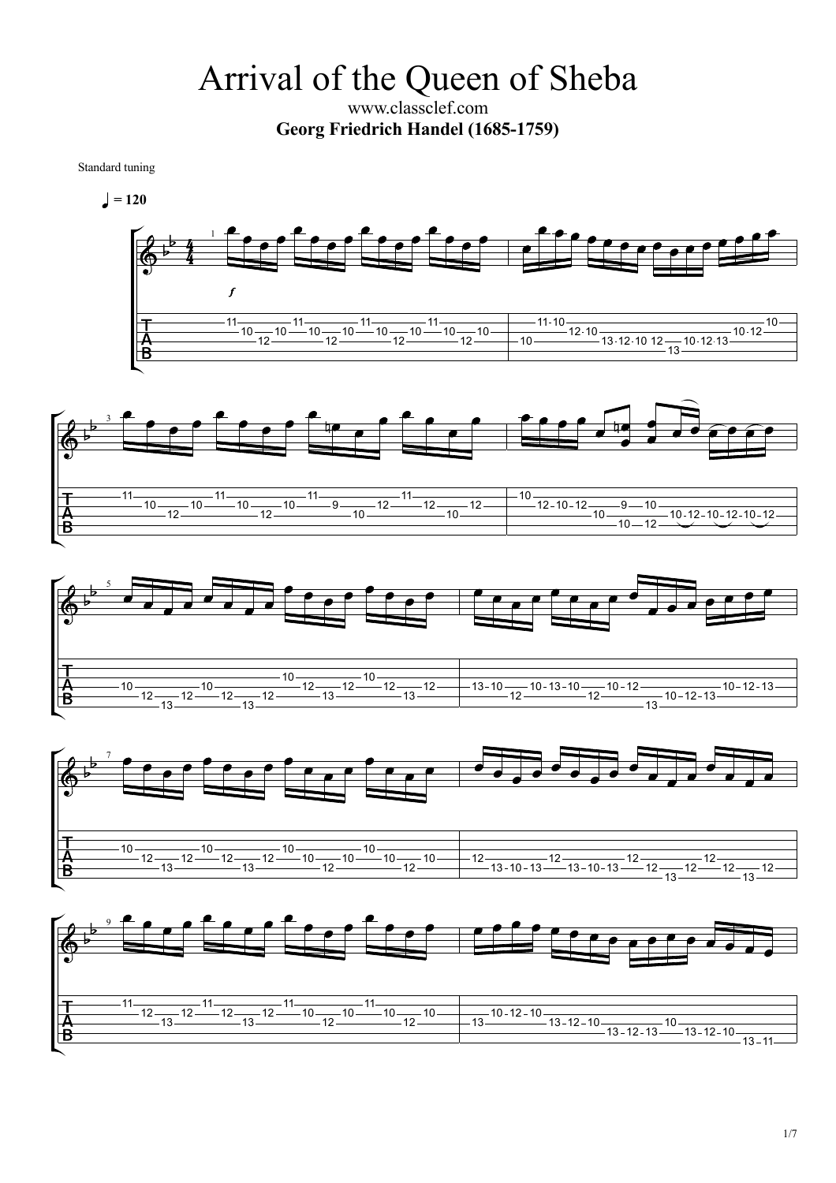Arrival of the Queen of Sheba

www.classclef.com **Georg Friedrich Handel (1685-1759)**

Standard tuning









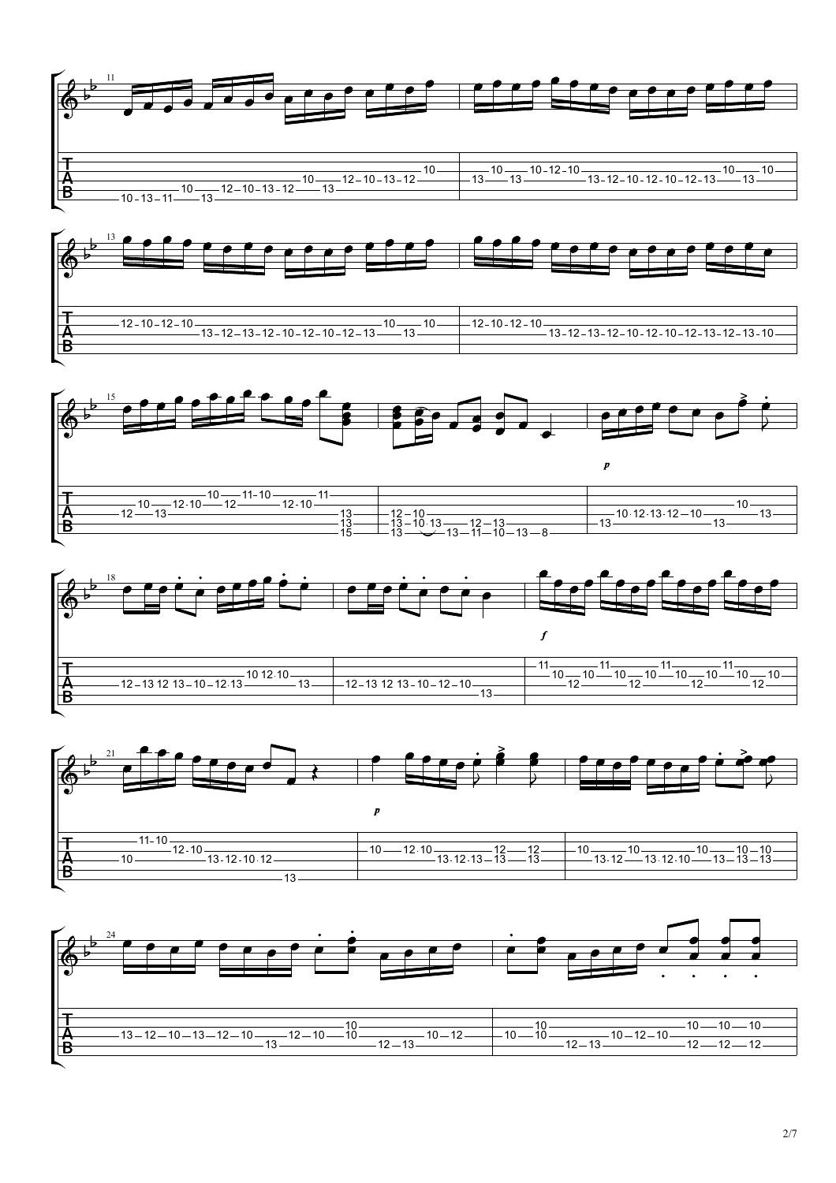









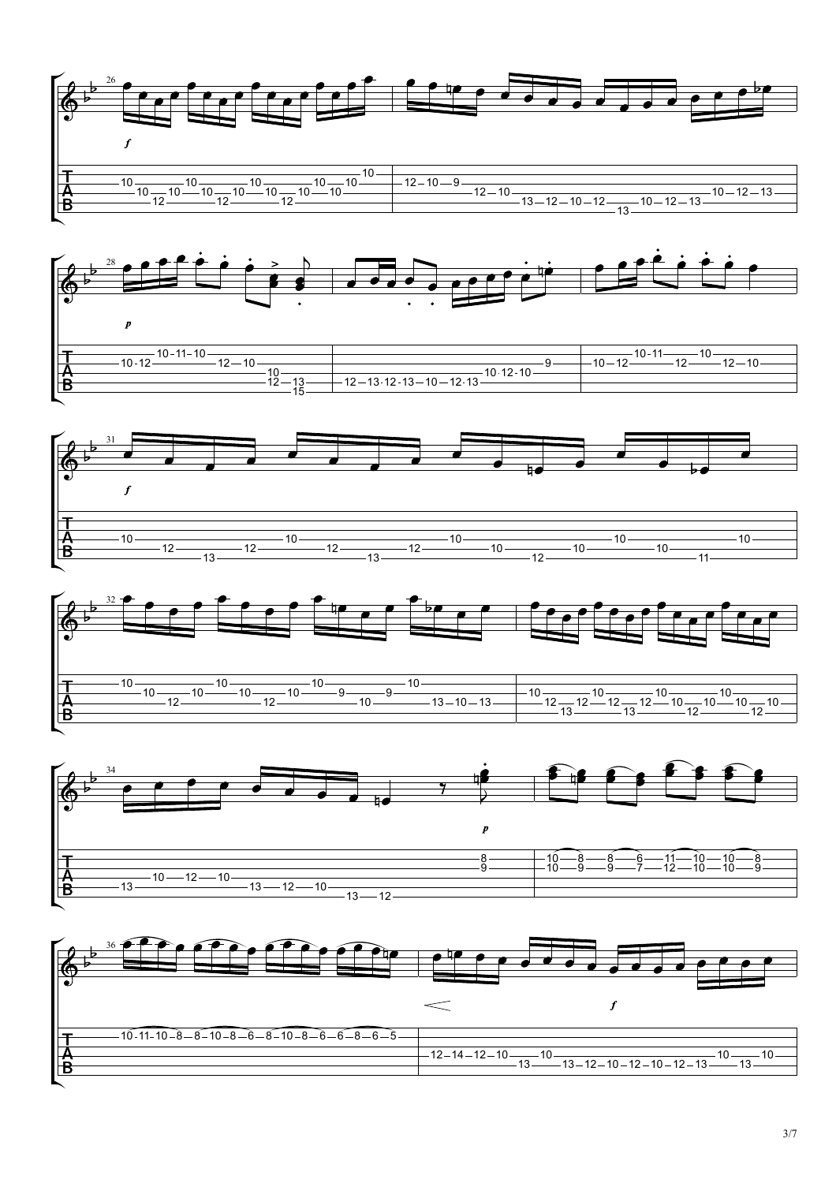









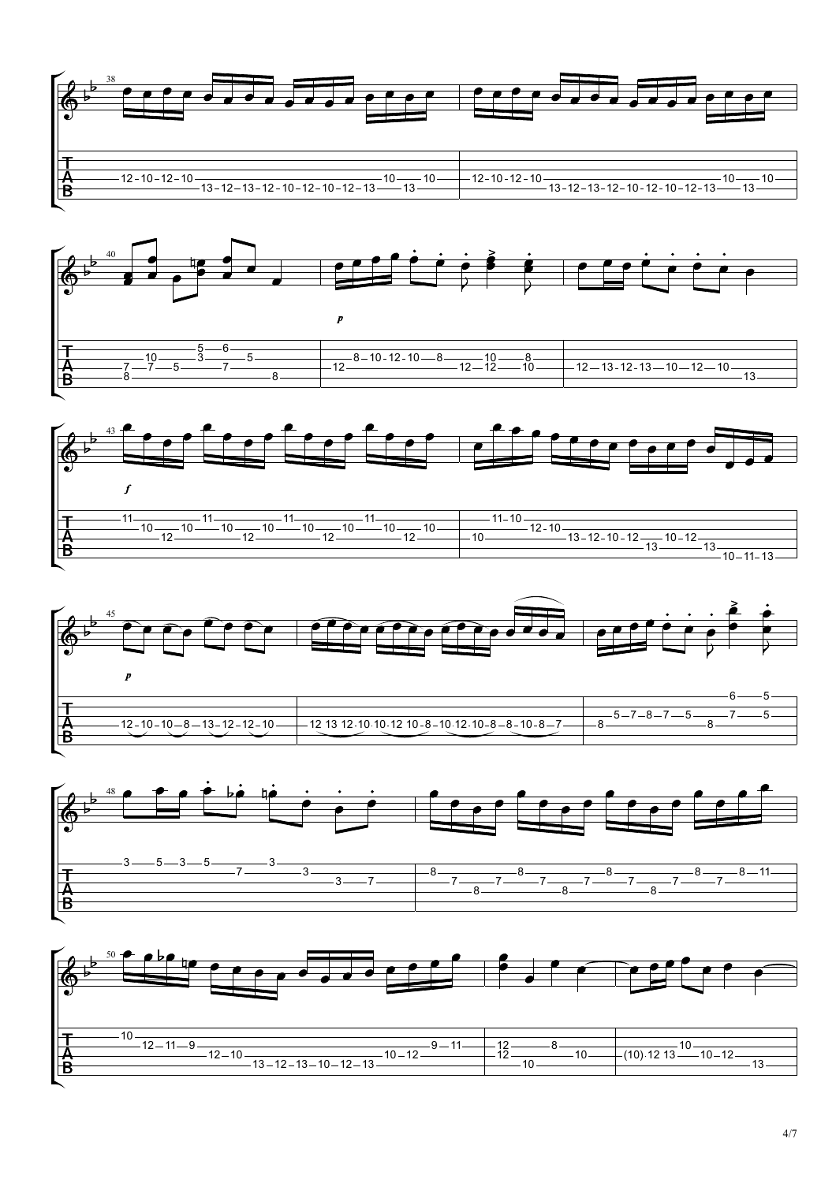









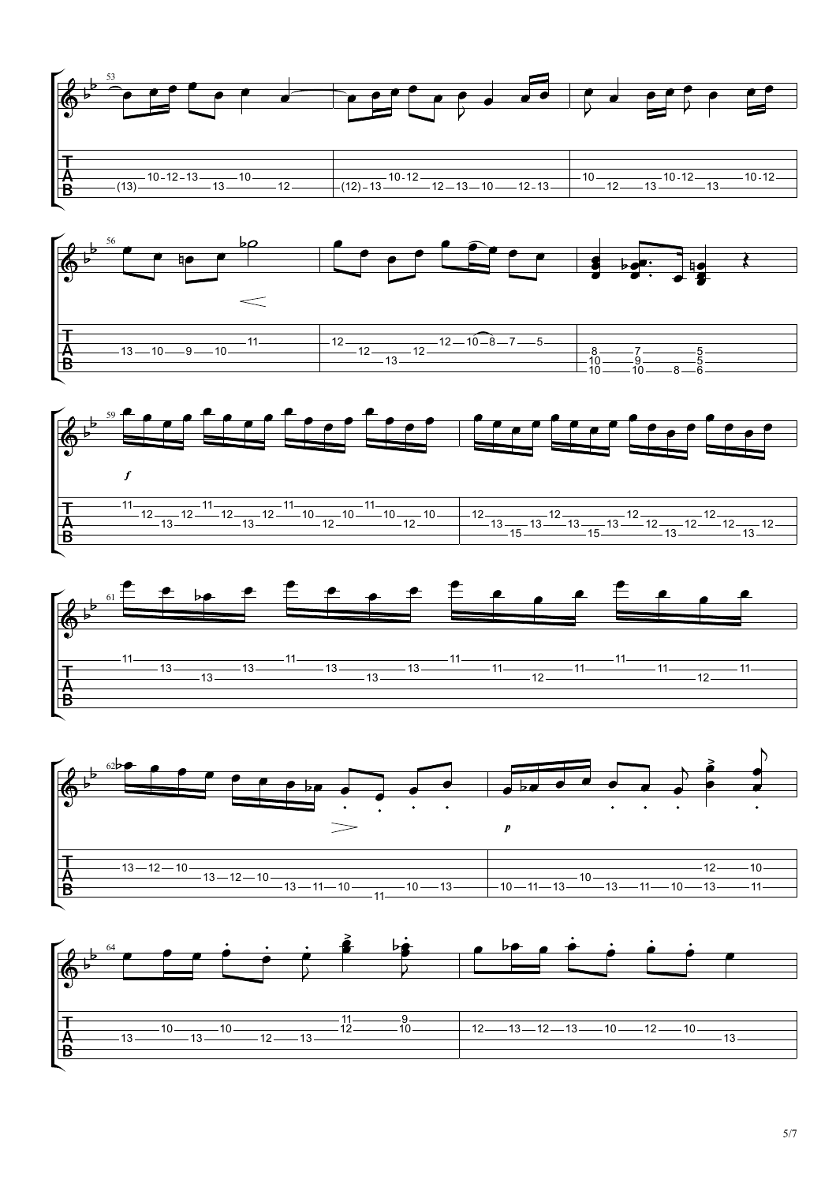









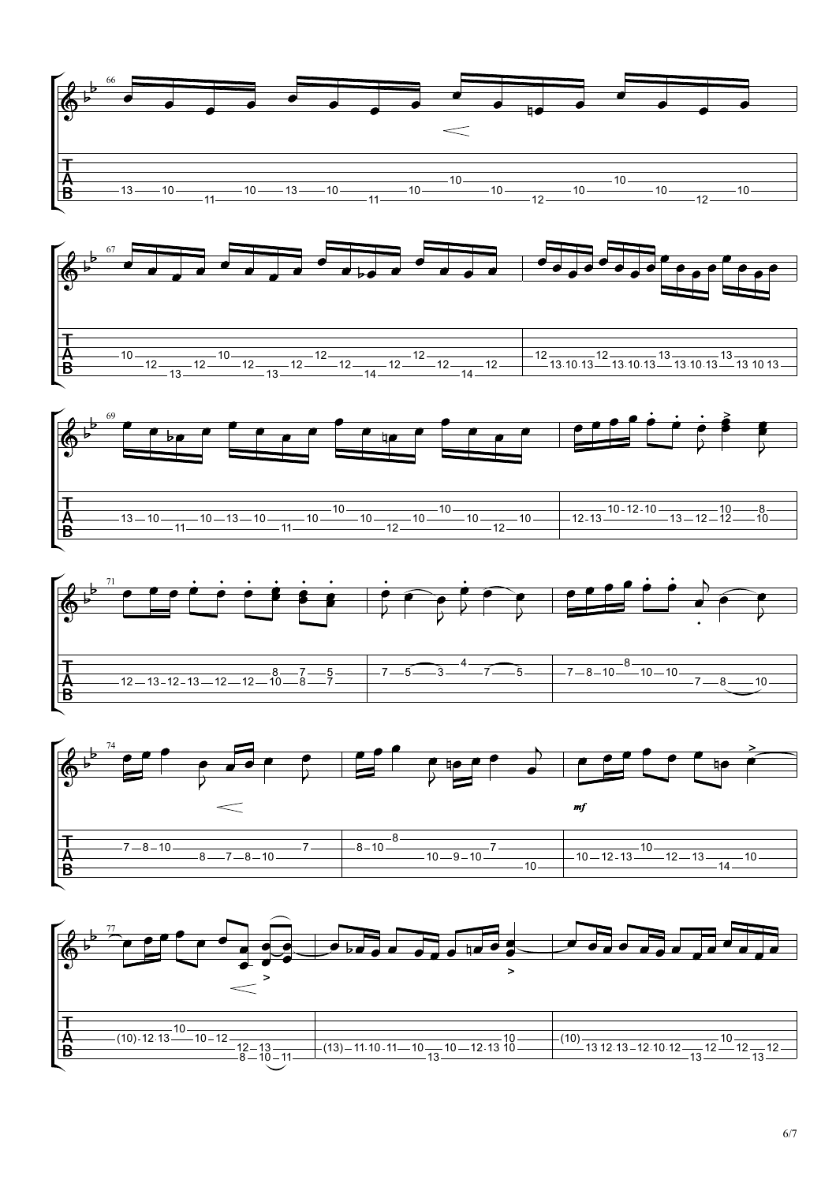